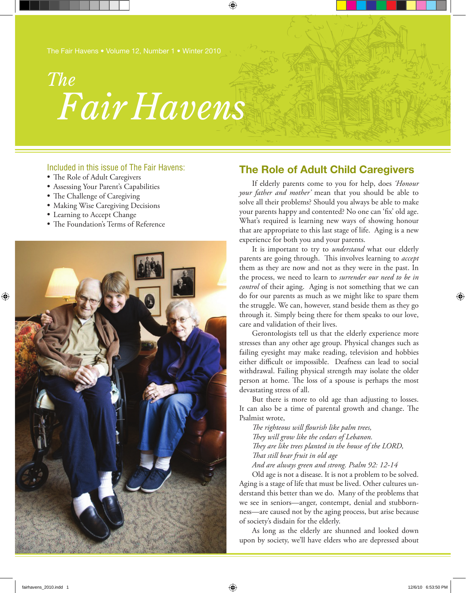# *Fair Havens The*

♠

## Included in this issue of The Fair Havens:

- The Role of Adult Caregivers
- Assessing Your Parent's Capabilities
- The Challenge of Caregiving
- • Making Wise Caregiving Decisions
- Learning to Accept Change
- The Foundation's Terms of Reference



## **The Role of Adult Child Caregivers**

If elderly parents come to you for help, does *'Honour your father and mother'* mean that you should be able to solve all their problems? Should you always be able to make your parents happy and contented? No one can 'fix' old age. What's required is learning new ways of showing honour that are appropriate to this last stage of life. Aging is a new experience for both you and your parents.

It is important to try to *understand* what our elderly parents are going through. This involves learning to *accept* them as they are now and not as they were in the past. In the process, we need to learn to *surrender our need to be in control* of their aging. Aging is not something that we can do for our parents as much as we might like to spare them the struggle. We can, however, stand beside them as they go through it. Simply being there for them speaks to our love, care and validation of their lives.

Gerontologists tell us that the elderly experience more stresses than any other age group. Physical changes such as failing eyesight may make reading, television and hobbies either difficult or impossible. Deafness can lead to social withdrawal. Failing physical strength may isolate the older person at home. The loss of a spouse is perhaps the most devastating stress of all.

But there is more to old age than adjusting to losses. It can also be a time of parental growth and change. The Psalmist wrote,

*The righteous will flourish like palm trees, They will grow like the cedars of Lebanon. They are like trees planted in the house of the LORD, That still bear fruit in old age And are always green and strong. Psalm 92: 12-14*

Old age is not a disease. It is not a problem to be solved. Aging is a stage of life that must be lived. Other cultures understand this better than we do. Many of the problems that we see in seniors—anger, contempt, denial and stubbornness—are caused not by the aging process, but arise because of society's disdain for the elderly.

As long as the elderly are shunned and looked down upon by society, we'll have elders who are depressed about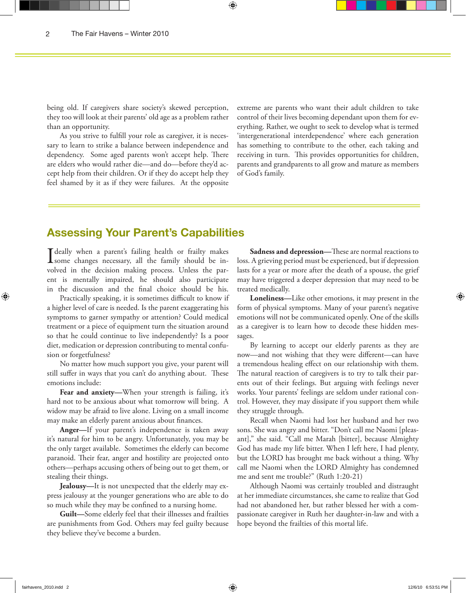being old. If caregivers share society's skewed perception, they too will look at their parents' old age as a problem rather than an opportunity.

As you strive to fulfill your role as caregiver, it is necessary to learn to strike a balance between independence and dependency. Some aged parents won't accept help. There are elders who would rather die—and do—before they'd accept help from their children. Or if they do accept help they feel shamed by it as if they were failures. At the opposite

extreme are parents who want their adult children to take control of their lives becoming dependant upon them for everything. Rather, we ought to seek to develop what is termed 'intergenerational interdependence' where each generation has something to contribute to the other, each taking and receiving in turn. This provides opportunities for children, parents and grandparents to all grow and mature as members of God's family.

# **Assessing Your Parent's Capabilities**

I deally when a parent's failing health or frailty makes<br>some changes necessary, all the family should be in-I deally when a parent's failing health or frailty makes volved in the decision making process. Unless the parent is mentally impaired, he should also participate in the discussion and the final choice should be his.

Practically speaking, it is sometimes difficult to know if a higher level of care is needed. Is the parent exaggerating his symptoms to garner sympathy or attention? Could medical treatment or a piece of equipment turn the situation around so that he could continue to live independently? Is a poor diet, medication or depression contributing to mental confusion or forgetfulness?

No matter how much support you give, your parent will still suffer in ways that you can't do anything about. These emotions include:

**Fear and anxiety—**When your strength is failing, it's hard not to be anxious about what tomorrow will bring. A widow may be afraid to live alone. Living on a small income may make an elderly parent anxious about finances.

**Anger—**If your parent's independence is taken away it's natural for him to be angry. Unfortunately, you may be the only target available. Sometimes the elderly can become paranoid. Their fear, anger and hostility are projected onto others—perhaps accusing others of being out to get them, or stealing their things.

**Jealousy—**It is not unexpected that the elderly may express jealousy at the younger generations who are able to do so much while they may be confined to a nursing home.

**Guilt—**Some elderly feel that their illnesses and frailties are punishments from God. Others may feel guilty because they believe they've become a burden.

**Sadness and depression—**These are normal reactions to loss. A grieving period must be experienced, but if depression lasts for a year or more after the death of a spouse, the grief may have triggered a deeper depression that may need to be treated medically.

**Loneliness—**Like other emotions, it may present in the form of physical symptoms. Many of your parent's negative emotions will not be communicated openly. One of the skills as a caregiver is to learn how to decode these hidden messages.

By learning to accept our elderly parents as they are now—and not wishing that they were different—can have a tremendous healing effect on our relationship with them. The natural reaction of caregivers is to try to talk their parents out of their feelings. But arguing with feelings never works. Your parents' feelings are seldom under rational control. However, they may dissipate if you support them while they struggle through.

Recall when Naomi had lost her husband and her two sons. She was angry and bitter. "Don't call me Naomi [pleasant]," she said. "Call me Marah [bitter], because Almighty God has made my life bitter. When I left here, I had plenty, but the LORD has brought me back without a thing. Why call me Naomi when the LORD Almighty has condemned me and sent me trouble?" (Ruth 1:20-21)

Although Naomi was certainly troubled and distraught at her immediate circumstances, she came to realize that God had not abandoned her, but rather blessed her with a compassionate caregiver in Ruth her daughter-in-law and with a hope beyond the frailties of this mortal life.

⊕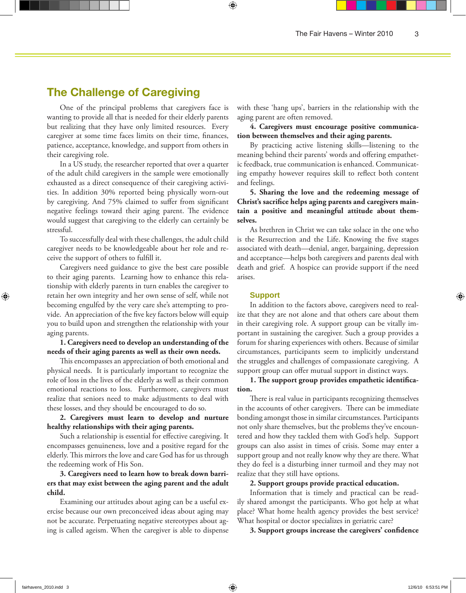# **The Challenge of Caregiving**

One of the principal problems that caregivers face is wanting to provide all that is needed for their elderly parents but realizing that they have only limited resources. Every caregiver at some time faces limits on their time, finances, patience, acceptance, knowledge, and support from others in their caregiving role.

In a US study, the researcher reported that over a quarter of the adult child caregivers in the sample were emotionally exhausted as a direct consequence of their caregiving activities. In addition 30% reported being physically worn-out by caregiving. And 75% claimed to suffer from significant negative feelings toward their aging parent. The evidence would suggest that caregiving to the elderly can certainly be stressful.

To successfully deal with these challenges, the adult child caregiver needs to be knowledgeable about her role and receive the support of others to fulfill it.

Caregivers need guidance to give the best care possible to their aging parents. Learning how to enhance this relationship with elderly parents in turn enables the caregiver to retain her own integrity and her own sense of self, while not becoming engulfed by the very care she's attempting to provide. An appreciation of the five key factors below will equip you to build upon and strengthen the relationship with your aging parents.

### **1. Caregivers need to develop an understanding of the needs of their aging parents as well as their own needs.**

This encompasses an appreciation of both emotional and physical needs. It is particularly important to recognize the role of loss in the lives of the elderly as well as their common emotional reactions to loss. Furthermore, caregivers must realize that seniors need to make adjustments to deal with these losses, and they should be encouraged to do so.

## **2. Caregivers must learn to develop and nurture healthy relationships with their aging parents.**

Such a relationship is essential for effective caregiving. It encompasses genuineness, love and a positive regard for the elderly. This mirrors the love and care God has for us through the redeeming work of His Son.

## **3. Caregivers need to learn how to break down barriers that may exist between the aging parent and the adult child.**

Examining our attitudes about aging can be a useful exercise because our own preconceived ideas about aging may not be accurate. Perpetuating negative stereotypes about aging is called ageism. When the caregiver is able to dispense

with these 'hang ups', barriers in the relationship with the aging parent are often removed.

## **4. Caregivers must encourage positive communication between themselves and their aging parents.**

By practicing active listening skills—listening to the meaning behind their parents' words and offering empathetic feedback, true communication is enhanced. Communicating empathy however requires skill to reflect both content and feelings.

**5. Sharing the love and the redeeming message of Christ's sacrifice helps aging parents and caregivers maintain a positive and meaningful attitude about themselves.**

As brethren in Christ we can take solace in the one who is the Resurrection and the Life. Knowing the five stages associated with death—denial, anger, bargaining, depression and acceptance—helps both caregivers and parents deal with death and grief. A hospice can provide support if the need arises.

#### **Support**

⊕

In addition to the factors above, caregivers need to realize that they are not alone and that others care about them in their caregiving role. A support group can be vitally important in sustaining the caregiver. Such a group provides a forum for sharing experiences with others. Because of similar circumstances, participants seem to implicitly understand the struggles and challenges of compassionate caregiving. A support group can offer mutual support in distinct ways.

## **1. The support group provides empathetic identification.**

There is real value in participants recognizing themselves in the accounts of other caregivers. There can be immediate bonding amongst those in similar circumstances. Participants not only share themselves, but the problems they've encountered and how they tackled them with God's help. Support groups can also assist in times of crisis. Some may enter a support group and not really know why they are there. What they do feel is a disturbing inner turmoil and they may not realize that they still have options.

#### **2. Support groups provide practical education.**

Information that is timely and practical can be readily shared amongst the participants. Who got help at what place? What home health agency provides the best service? What hospital or doctor specializes in geriatric care?

**3. Support groups increase the caregivers' confidence**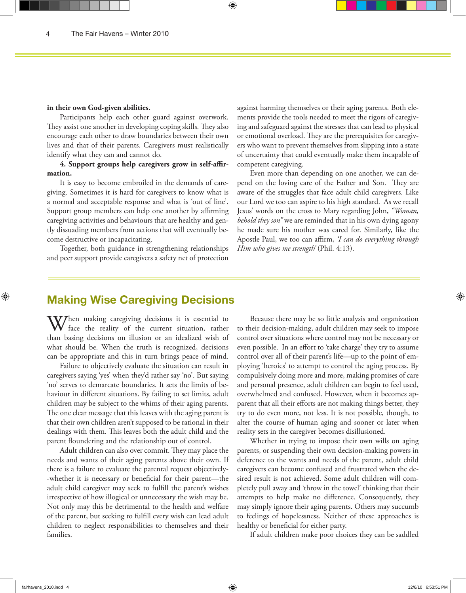#### **in their own God-given abilities.**

Participants help each other guard against overwork. They assist one another in developing coping skills. They also encourage each other to draw boundaries between their own lives and that of their parents. Caregivers must realistically identify what they can and cannot do.

⊕

**4. Support groups help caregivers grow in self-affirmation.** 

It is easy to become embroiled in the demands of caregiving. Sometimes it is hard for caregivers to know what is a normal and acceptable response and what is 'out of line'. Support group members can help one another by affirming caregiving activities and behaviours that are healthy and gently dissuading members from actions that will eventually become destructive or incapacitating.

Together, both guidance in strengthening relationships and peer support provide caregivers a safety net of protection

against harming themselves or their aging parents. Both elements provide the tools needed to meet the rigors of caregiving and safeguard against the stresses that can lead to physical or emotional overload. They are the prerequisites for caregivers who want to prevent themselves from slipping into a state of uncertainty that could eventually make them incapable of competent caregiving.

Even more than depending on one another, we can depend on the loving care of the Father and Son. They are aware of the struggles that face adult child caregivers. Like our Lord we too can aspire to his high standard. As we recall Jesus' words on the cross to Mary regarding John, *"Woman, behold they son"* we are reminded that in his own dying agony he made sure his mother was cared for. Similarly, like the Apostle Paul, we too can affirm, *'I can do everything through Him who gives me strength'* (Phil. 4:13).

# **Making Wise Caregiving Decisions**

When making caregiving decisions it is essential to face the reality of the current situation, rather than basing decisions on illusion or an idealized wish of what should be. When the truth is recognized, decisions can be appropriate and this in turn brings peace of mind.

Failure to objectively evaluate the situation can result in caregivers saying 'yes' when they'd rather say 'no'. But saying 'no' serves to demarcate boundaries. It sets the limits of behaviour in different situations. By failing to set limits, adult children may be subject to the whims of their aging parents. The one clear message that this leaves with the aging parent is that their own children aren't supposed to be rational in their dealings with them. This leaves both the adult child and the parent floundering and the relationship out of control.

Adult children can also over commit. They may place the needs and wants of their aging parents above their own. If there is a failure to evaluate the parental request objectively- -whether it is necessary or beneficial for their parent—the adult child caregiver may seek to fulfill the parent's wishes irrespective of how illogical or unnecessary the wish may be. Not only may this be detrimental to the health and welfare of the parent, but seeking to fulfill every wish can lead adult children to neglect responsibilities to themselves and their families.

Because there may be so little analysis and organization to their decision-making, adult children may seek to impose control over situations where control may not be necessary or even possible. In an effort to 'take charge' they try to assume control over all of their parent's life—up to the point of employing 'heroics' to attempt to control the aging process. By compulsively doing more and more, making promises of care and personal presence, adult children can begin to feel used, overwhelmed and confused. However, when it becomes apparent that all their efforts are not making things better, they try to do even more, not less. It is not possible, though, to alter the course of human aging and sooner or later when reality sets in the caregiver becomes disillusioned.

Whether in trying to impose their own wills on aging parents, or suspending their own decision-making powers in deference to the wants and needs of the parent, adult child caregivers can become confused and frustrated when the desired result is not achieved. Some adult children will completely pull away and 'throw in the towel' thinking that their attempts to help make no difference. Consequently, they may simply ignore their aging parents. Others may succumb to feelings of hopelessness. Neither of these approaches is healthy or beneficial for either party.

If adult children make poor choices they can be saddled

fairhavens\_2010.indd 4 12/6/10 6:53:51 PM

⊕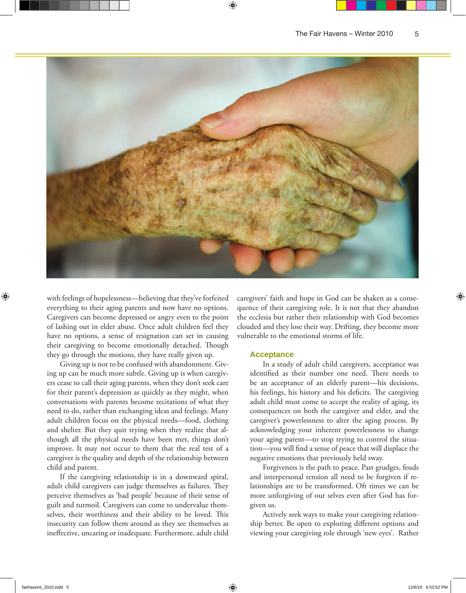

with feelings of hopelessness—believing that they've forfeited everything to their aging parents and now have no options. Caregivers can become depressed or angry even to the point of lashing out in elder abuse. Once adult children feel they have no options, a sense of resignation can set in causing their caregiving to become emotionally detached. Though they go through the motions, they have really given up.

Giving up is not to be confused with abandonment. Giving up can be much more subtle. Giving up is when caregivers cease to call their aging parents, when they don't seek care for their parent's depression as quickly as they might, when conversations with parents become recitations of what they need to do, rather than exchanging ideas and feelings. Many adult children focus on the physical needs—food, clothing and shelter. But they quit trying when they realize that although all the physical needs have been met, things don't improve. It may not occur to them that the real test of a caregiver is the quality and depth of the relationship between child and parent.

If the caregiving relationship is in a downward spiral, adult child caregivers can judge themselves as failures. They perceive themselves as 'bad people' because of their sense of guilt and turmoil. Caregivers can come to undervalue themselves, their worthiness and their ability to be loved. This insecurity can follow them around as they see themselves as ineffective, uncaring or inadequate. Furthermore, adult child caregivers' faith and hope in God can be shaken as a consequence of their caregiving role. It is not that they abandon the ecclesia but rather their relationship with God becomes clouded and they lose their way. Drifting, they become more vulnerable to the emotional storms of life.

#### **Acceptance**

In a study of adult child caregivers, acceptance was identified as their number one need. There needs to be an acceptance of an elderly parent—his decisions, his feelings, his history and his deficits. The caregiving adult child must come to accept the reality of aging, its consequences on both the caregiver and elder, and the caregiver's powerlessness to alter the aging process. By acknowledging your inherent powerlessness to change your aging parent—to stop trying to control the situation—you will find a sense of peace that will displace the negative emotions that previously held sway.

Forgiveness is the path to peace. Past grudges, feuds and interpersonal tension all need to be forgiven if relationships are to be transformed. Oft times we can be more unforgiving of our selves even after God has forgiven us.

Actively seek ways to make your caregiving relationship better. Be open to exploring different options and viewing your caregiving role through 'new eyes'. Rather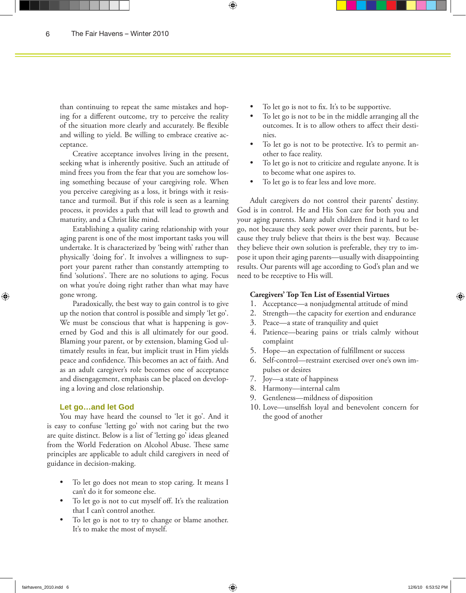than continuing to repeat the same mistakes and hoping for a different outcome, try to perceive the reality of the situation more clearly and accurately. Be flexible and willing to yield. Be willing to embrace creative acceptance.

Creative acceptance involves living in the present, seeking what is inherently positive. Such an attitude of mind frees you from the fear that you are somehow losing something because of your caregiving role. When you perceive caregiving as a loss, it brings with it resistance and turmoil. But if this role is seen as a learning process, it provides a path that will lead to growth and maturity, and a Christ like mind.

Establishing a quality caring relationship with your aging parent is one of the most important tasks you will undertake. It is characterized by 'being with' rather than physically 'doing for'. It involves a willingness to support your parent rather than constantly attempting to find 'solutions'. There are no solutions to aging. Focus on what you're doing right rather than what may have gone wrong.

Paradoxically, the best way to gain control is to give up the notion that control is possible and simply 'let go'. We must be conscious that what is happening is governed by God and this is all ultimately for our good. Blaming your parent, or by extension, blaming God ultimately results in fear, but implicit trust in Him yields peace and confidence. This becomes an act of faith. And as an adult caregiver's role becomes one of acceptance and disengagement, emphasis can be placed on developing a loving and close relationship.

#### **Let go…and let God**

You may have heard the counsel to 'let it go'. And it is easy to confuse 'letting go' with not caring but the two are quite distinct. Below is a list of 'letting go' ideas gleaned from the World Federation on Alcohol Abuse. These same principles are applicable to adult child caregivers in need of guidance in decision-making.

- To let go does not mean to stop caring. It means I can't do it for someone else.
- To let go is not to cut myself off. It's the realization that I can't control another.
- To let go is not to try to change or blame another. It's to make the most of myself.
- To let go is not to fix. It's to be supportive.
- To let go is not to be in the middle arranging all the outcomes. It is to allow others to affect their destinies.
- To let go is not to be protective. It's to permit another to face reality.
- To let go is not to criticize and regulate anyone. It is to become what one aspires to.
- To let go is to fear less and love more.

Adult caregivers do not control their parents' destiny. God is in control. He and His Son care for both you and your aging parents. Many adult children find it hard to let go, not because they seek power over their parents, but because they truly believe that theirs is the best way. Because they believe their own solution is preferable, they try to impose it upon their aging parents—usually with disappointing results. Our parents will age according to God's plan and we need to be receptive to His will.

#### **Caregivers' Top Ten List of Essential Virtues**

- 1. Acceptance—a nonjudgmental attitude of mind
- 2. Strength—the capacity for exertion and endurance
- 3. Peace—a state of tranquility and quiet
- 4. Patience—bearing pains or trials calmly without complaint
- 5. Hope—an expectation of fulfillment or success
- 6. Self-control—restraint exercised over one's own impulses or desires
- 7. Joy—a state of happiness
- 8. Harmony—internal calm
- 9. Gentleness—mildness of disposition
- 10. Love—unselfish loyal and benevolent concern for the good of another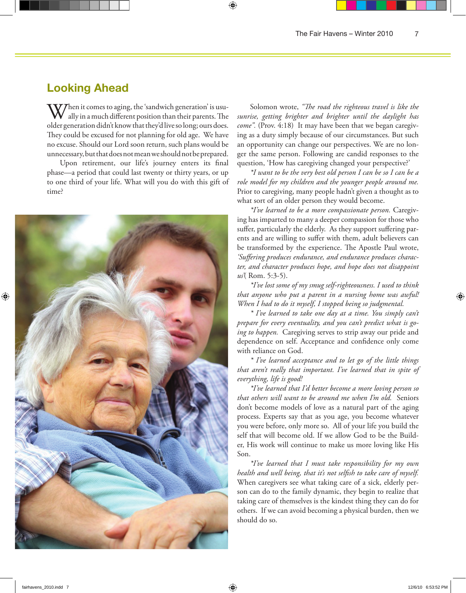# **Looking Ahead**

 $\bf V$ Then it comes to aging, the 'sandwich generation' is usually in a much different position than their parents. The older generation didn't know that they'd live so long; ours does. They could be excused for not planning for old age. We have no excuse. Should our Lord soon return, such plans would be unnecessary, but that does not mean we should not be prepared.

Upon retirement, our life's journey enters its final phase—a period that could last twenty or thirty years, or up to one third of your life. What will you do with this gift of time?



Solomon wrote, *"The road the righteous travel is like the sunrise, getting brighter and brighter until the daylight has come".* (Prov. 4:18) It may have been that we began caregiving as a duty simply because of our circumstances. But such an opportunity can change our perspectives. We are no longer the same person. Following are candid responses to the question, 'How has caregiving changed your perspective?'

*\*I want to be the very best old person I can be so I can be a role model for my children and the younger people around me.* Prior to caregiving, many people hadn't given a thought as to what sort of an older person they would become.

*\*I've learned to be a more compassionate person.* Caregiving has imparted to many a deeper compassion for those who suffer, particularly the elderly. As they support suffering parents and are willing to suffer with them, adult believers can be transformed by the experience. The Apostle Paul wrote, *'Suffering produces endurance, and endurance produces character, and character produces hope, and hope does not disappoint us'*( Rom. 5:3-5).

*\*I've lost some of my smug self-righteousness. I used to think that anyone who put a parent in a nursing home was awful! When I had to do it myself, I stopped being so judgmental.*

*\* I've learned to take one day at a time. You simply can't prepare for every eventuality, and you can't predict what is going to happen.* Caregiving serves to strip away our pride and dependence on self. Acceptance and confidence only come with reliance on God.

*\* I've learned acceptance and to let go of the little things that aren't really that important. I've learned that in spite of everything, life is good!*

*\*I've learned that I'd better become a more loving person so that others will want to be around me when I'm old.* Seniors don't become models of love as a natural part of the aging process. Experts say that as you age, you become whatever you were before, only more so. All of your life you build the self that will become old. If we allow God to be the Builder, His work will continue to make us more loving like His Son.

*\*I've learned that I must take responsibility for my own health and well being, that it's not selfish to take care of myself.* When caregivers see what taking care of a sick, elderly person can do to the family dynamic, they begin to realize that taking care of themselves is the kindest thing they can do for others. If we can avoid becoming a physical burden, then we should do so.